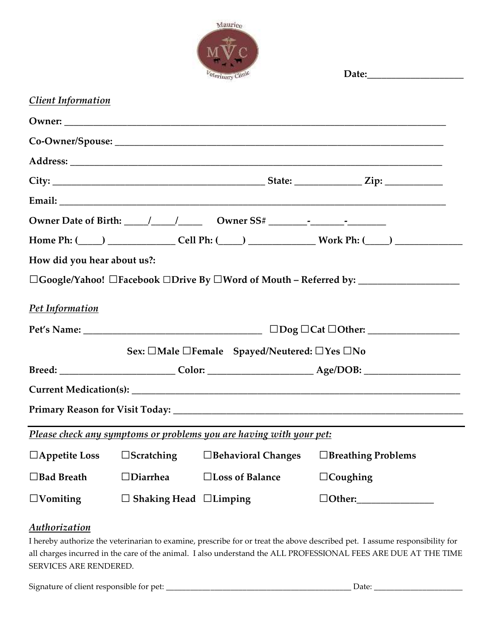

|                             |                                                                     | Veterinary Clinic                            |  |                                                                                                     |  |  |
|-----------------------------|---------------------------------------------------------------------|----------------------------------------------|--|-----------------------------------------------------------------------------------------------------|--|--|
| <b>Client Information</b>   |                                                                     |                                              |  |                                                                                                     |  |  |
|                             |                                                                     |                                              |  |                                                                                                     |  |  |
|                             |                                                                     |                                              |  |                                                                                                     |  |  |
|                             |                                                                     |                                              |  |                                                                                                     |  |  |
|                             |                                                                     |                                              |  |                                                                                                     |  |  |
|                             |                                                                     |                                              |  |                                                                                                     |  |  |
|                             |                                                                     |                                              |  |                                                                                                     |  |  |
|                             |                                                                     |                                              |  | Home Ph: (____) ________________Cell Ph: (____) _________________Work Ph: (____) __________________ |  |  |
| How did you hear about us?: |                                                                     |                                              |  |                                                                                                     |  |  |
|                             |                                                                     |                                              |  |                                                                                                     |  |  |
| Pet Information             |                                                                     |                                              |  |                                                                                                     |  |  |
|                             |                                                                     |                                              |  |                                                                                                     |  |  |
|                             |                                                                     | Sex: □Male □Female Spayed/Neutered: □Yes □No |  |                                                                                                     |  |  |
|                             |                                                                     |                                              |  |                                                                                                     |  |  |
|                             |                                                                     |                                              |  |                                                                                                     |  |  |
|                             |                                                                     |                                              |  |                                                                                                     |  |  |
|                             | Please check any symptoms or problems you are having with your pet: |                                              |  |                                                                                                     |  |  |
| $\Box$ Appetite Loss        | $\Box$ Scratching                                                   | □ Behavioral Changes                         |  | $\Box$ Breathing Problems                                                                           |  |  |
| $\Box$ Bad Breath           | $\Box$ Diarrhea                                                     | □Loss of Balance                             |  | $\Box$ Coughing                                                                                     |  |  |
| $\Box$ Vomiting             | $\Box$ Shaking Head $\Box$ Limping                                  |                                              |  | $\Box$ Other:                                                                                       |  |  |

### *Authorization*

I hereby authorize the veterinarian to examine, prescribe for or treat the above described pet. I assume responsibility for all charges incurred in the care of the animal. I also understand the ALL PROFESSIONAL FEES ARE DUE AT THE TIME SERVICES ARE RENDERED.

Signature of client responsible for pet: \_\_\_\_\_\_\_\_\_\_\_\_\_\_\_\_\_\_\_\_\_\_\_\_\_\_\_\_\_\_\_\_\_\_\_\_\_\_\_\_\_\_\_\_\_\_ Date: \_\_\_\_\_\_\_\_\_\_\_\_\_\_\_\_\_\_\_\_\_\_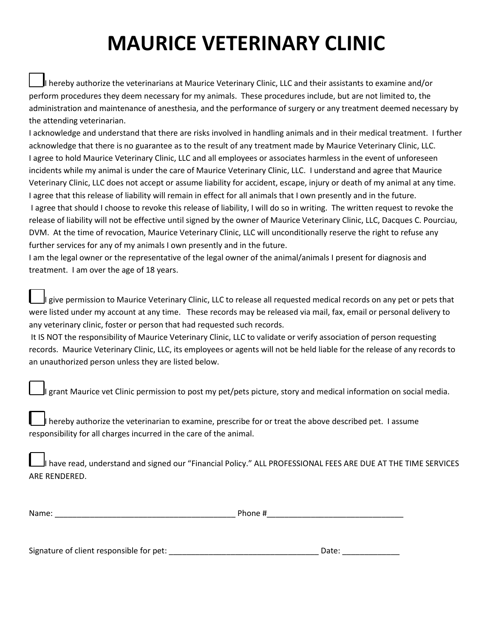# **MAURICE VETERINARY CLINIC**

I hereby authorize the veterinarians at Maurice Veterinary Clinic, LLC and their assistants to examine and/or perform procedures they deem necessary for my animals. These procedures include, but are not limited to, the administration and maintenance of anesthesia, and the performance of surgery or any treatment deemed necessary by the attending veterinarian.

I acknowledge and understand that there are risks involved in handling animals and in their medical treatment. I further acknowledge that there is no guarantee as to the result of any treatment made by Maurice Veterinary Clinic, LLC. I agree to hold Maurice Veterinary Clinic, LLC and all employees or associates harmless in the event of unforeseen incidents while my animal is under the care of Maurice Veterinary Clinic, LLC. I understand and agree that Maurice Veterinary Clinic, LLC does not accept or assume liability for accident, escape, injury or death of my animal at any time. I agree that this release of liability will remain in effect for all animals that I own presently and in the future. I agree that should I choose to revoke this release of liability, I will do so in writing. The written request to revoke the release of liability will not be effective until signed by the owner of Maurice Veterinary Clinic, LLC, Dacques C. Pourciau, DVM. At the time of revocation, Maurice Veterinary Clinic, LLC will unconditionally reserve the right to refuse any further services for any of my animals I own presently and in the future.

I am the legal owner or the representative of the legal owner of the animal/animals I present for diagnosis and treatment. I am over the age of 18 years.

I give permission to Maurice Veterinary Clinic, LLC to release all requested medical records on any pet or pets that were listed under my account at any time. These records may be released via mail, fax, email or personal delivery to any veterinary clinic, foster or person that had requested such records.

It IS NOT the responsibility of Maurice Veterinary Clinic, LLC to validate or verify association of person requesting records. Maurice Veterinary Clinic, LLC, its employees or agents will not be held liable for the release of any records to an unauthorized person unless they are listed below.

I grant Maurice vet Clinic permission to post my pet/pets picture, story and medical information on social media.

I hereby authorize the veterinarian to examine, prescribe for or treat the above described pet. I assume responsibility for all charges incurred in the care of the animal.

I have read, understand and signed our "Financial Policy." ALL PROFESSIONAL FEES ARE DUE AT THE TIME SERVICES ARE RENDERED.

| Nа<br>. |  |
|---------|--|
|         |  |

Signature of client responsible for pet: \_\_\_\_\_\_\_\_\_\_\_\_\_\_\_\_\_\_\_\_\_\_\_\_\_\_\_\_\_\_\_\_\_\_ Date: \_\_\_\_\_\_\_\_\_\_\_\_\_